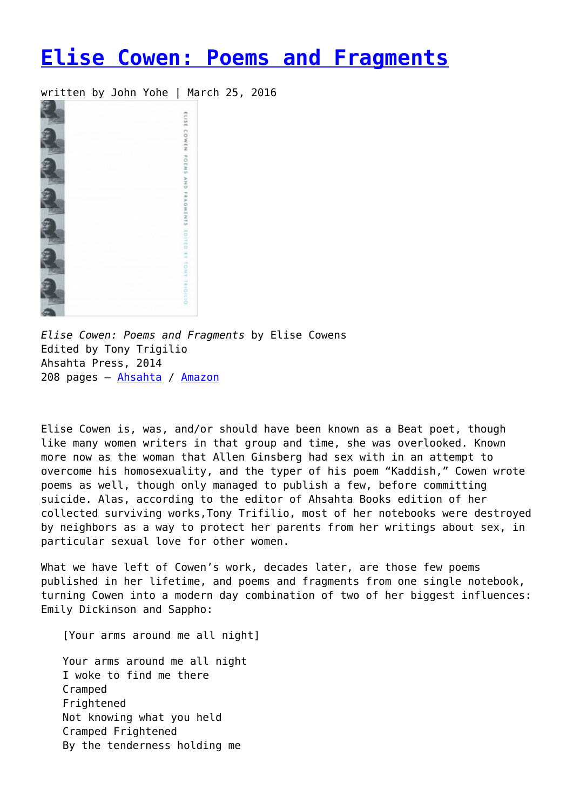## **[Elise Cowen: Poems and Fragments](https://entropymag.org/elise-cowen-poems-and-fragments-by-elise-cowens/)**

written by John Yohe | March 25, 2016



*Elise Cowen: Poems and Fragments* by Elise Cowens Edited by Tony Trigilio Ahsahta Press, 2014 208 pages – [Ahsahta](https://ahsahtapress.org/product/trigilio-elise-cowen-poems-and-fragments/) / [Amazon](http://www.amazon.com/Elise-Cowen-Poems-Fragments-New/dp/1934103497/ref=sr_1_1?ie=UTF8&qid=1458169106&sr=8-1&keywords=elise+cowen)

Elise Cowen is, was, and/or should have been known as a Beat poet, though like many women writers in that group and time, she was overlooked. Known more now as the woman that Allen Ginsberg had sex with in an attempt to overcome his homosexuality, and the typer of his poem "Kaddish," Cowen wrote poems as well, though only managed to publish a few, before committing suicide. Alas, according to the editor of Ahsahta Books edition of her collected surviving works,Tony Trifilio, most of her notebooks were destroyed by neighbors as a way to protect her parents from her writings about sex, in particular sexual love for other women.

What we have left of Cowen's work, decades later, are those few poems published in her lifetime, and poems and fragments from one single notebook, turning Cowen into a modern day combination of two of her biggest influences: Emily Dickinson and Sappho:

[Your arms around me all night]

Your arms around me all night I woke to find me there Cramped **Frightened** Not knowing what you held Cramped Frightened By the tenderness holding me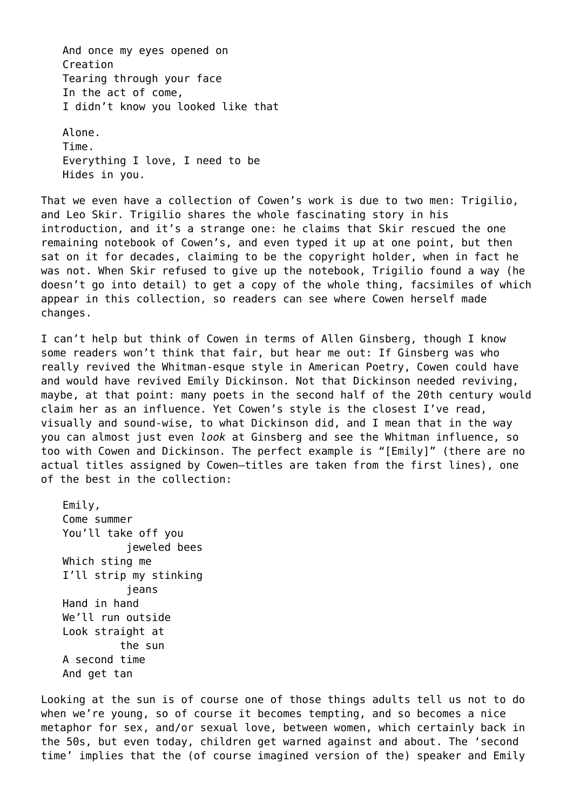And once my eyes opened on Creation Tearing through your face In the act of come, I didn't know you looked like that Alone.

Time. Everything I love, I need to be Hides in you.

That we even have a collection of Cowen's work is due to two men: Trigilio, and Leo Skir. Trigilio shares the whole fascinating story in his introduction, and it's a strange one: he claims that Skir rescued the one remaining notebook of Cowen's, and even typed it up at one point, but then sat on it for decades, claiming to be the copyright holder, when in fact he was not. When Skir refused to give up the notebook, Trigilio found a way (he doesn't go into detail) to get a copy of the whole thing, facsimiles of which appear in this collection, so readers can see where Cowen herself made changes.

I can't help but think of Cowen in terms of Allen Ginsberg, though I know some readers won't think that fair, but hear me out: If Ginsberg was who really revived the Whitman-esque style in American Poetry, Cowen could have and would have revived Emily Dickinson. Not that Dickinson needed reviving, maybe, at that point: many poets in the second half of the 20th century would claim her as an influence. Yet Cowen's style is the closest I've read, visually and sound-wise, to what Dickinson did, and I mean that in the way you can almost just even *look* at Ginsberg and see the Whitman influence, so too with Cowen and Dickinson. The perfect example is "[Emily]" (there are no actual titles assigned by Cowen—titles are taken from the first lines), one of the best in the collection:

Emily, Come summer You'll take off you ieweled bees Which sting me I'll strip my stinking jeans Hand in hand We'll run outside Look straight at the sun A second time And get tan

Looking at the sun is of course one of those things adults tell us not to do when we're young, so of course it becomes tempting, and so becomes a nice metaphor for sex, and/or sexual love, between women, which certainly back in the 50s, but even today, children get warned against and about. The 'second time' implies that the (of course imagined version of the) speaker and Emily